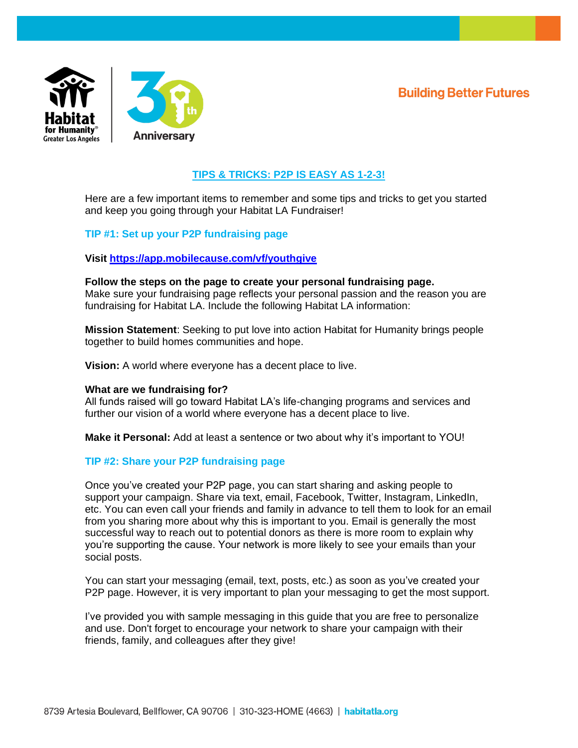**Building Better Futures** 



# **TIPS & TRICKS: P2P IS EASY AS 1-2-3!**

Here are a few important items to remember and some tips and tricks to get you started and keep you going through your Habitat LA Fundraiser!

# **TIP #1: Set up your P2P fundraising page**

**Visit<https://app.mobilecause.com/vf/youthgive>**

## **Follow the steps on the page to create your personal fundraising page.**

Make sure your fundraising page reflects your personal passion and the reason you are fundraising for Habitat LA. Include the following Habitat LA information:

**Mission Statement**: Seeking to put love into action Habitat for Humanity brings people together to build homes communities and hope.

**Vision:** A world where everyone has a decent place to live.

## **What are we fundraising for?**

All funds raised will go toward Habitat LA's life-changing programs and services and further our vision of a world where everyone has a decent place to live.

**Make it Personal:** Add at least a sentence or two about why it's important to YOU!

## **TIP #2: Share your P2P fundraising page**

Once you've created your P2P page, you can start sharing and asking people to support your campaign. Share via text, email, Facebook, Twitter, Instagram, LinkedIn, etc. You can even call your friends and family in advance to tell them to look for an email from you sharing more about why this is important to you. Email is generally the most successful way to reach out to potential donors as there is more room to explain why you're supporting the cause. Your network is more likely to see your emails than your social posts.

You can start your messaging (email, text, posts, etc.) as soon as you've created your P2P page. However, it is very important to plan your messaging to get the most support.

I've provided you with sample messaging in this guide that you are free to personalize and use. Don't forget to encourage your network to share your campaign with their friends, family, and colleagues after they give!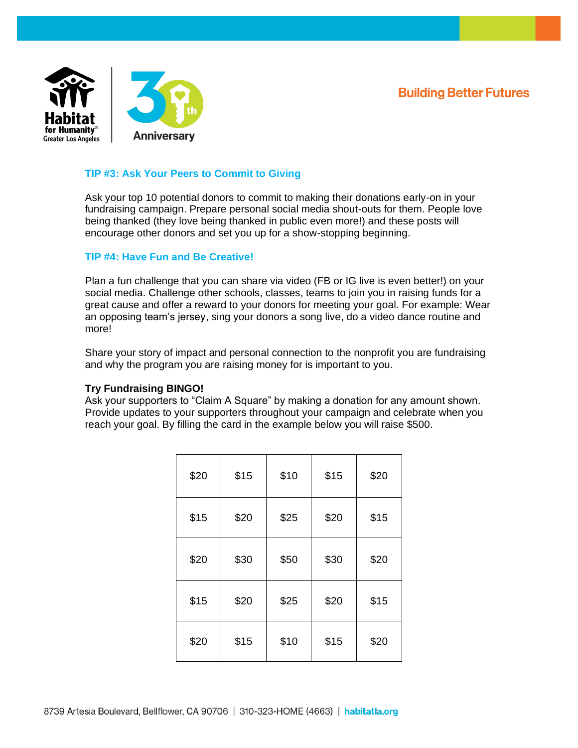**Building Better Futures** 



# **TIP #3: Ask Your Peers to Commit to Giving**

Ask your top 10 potential donors to commit to making their donations early-on in your fundraising campaign. Prepare personal social media shout-outs for them. People love being thanked (they love being thanked in public even more!) and these posts will encourage other donors and set you up for a show-stopping beginning.

## **TIP #4: Have Fun and Be Creative!**

Plan a fun challenge that you can share via video (FB or IG live is even better!) on your social media. Challenge other schools, classes, teams to join you in raising funds for a great cause and offer a reward to your donors for meeting your goal. For example: Wear an opposing team's jersey, sing your donors a song live, do a video dance routine and more!

Share your story of impact and personal connection to the nonprofit you are fundraising and why the program you are raising money for is important to you.

## **Try Fundraising BINGO!**

Ask your supporters to "Claim A Square" by making a donation for any amount shown. Provide updates to your supporters throughout your campaign and celebrate when you reach your goal. By filling the card in the example below you will raise \$500.

| \$20 | \$15 | \$10 | \$15 | \$20 |
|------|------|------|------|------|
| \$15 | \$20 | \$25 | \$20 | \$15 |
| \$20 | \$30 | \$50 | \$30 | \$20 |
| \$15 | \$20 | \$25 | \$20 | \$15 |
| \$20 | \$15 | \$10 | \$15 | \$20 |